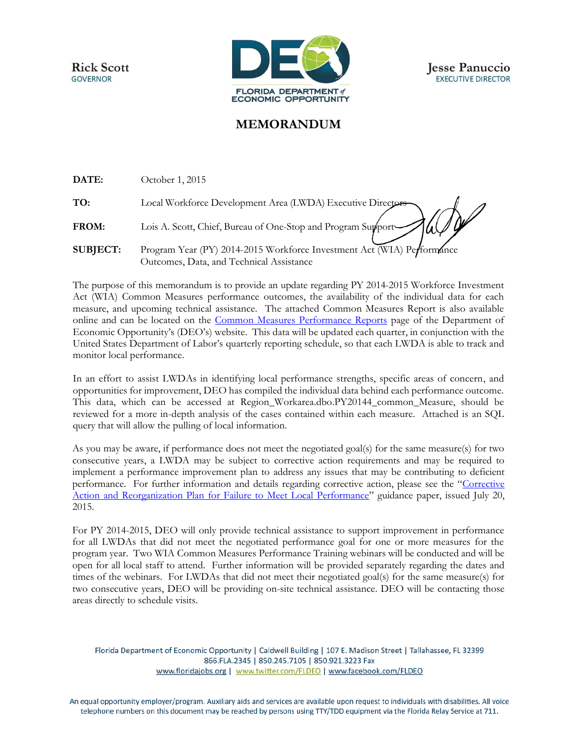**Rick Scott GOVERNOR** 



## **MEMORANDUM**

**DATE:** October 1, 2015

**TO:** Local Workforce Development Area (LWDA) Executive Directors

FROM: Lois A. Scott, Chief, Bureau of One-Stop and Program Supports

**SUBJECT:** Program Year (PY) 2014-2015 Workforce Investment Act (WIA) Performance Outcomes, Data, and Technical Assistance

The purpose of this memorandum is to provide an update regarding PY 2014-2015 Workforce Investment Act (WIA) Common Measures performance outcomes, the availability of the individual data for each measure, and upcoming technical assistance. The attached Common Measures Report is also available online and can be located on the [Common Measures Performance Reports](http://www.floridajobs.org/workforce-board-resources/program-monitoring-and-reports/state-program-reports/common-measures-performance-reports) page of the Department of Economic Opportunity's (DEO's) website. This data will be updated each quarter, in conjunction with the United States Department of Labor's quarterly reporting schedule, so that each LWDA is able to track and monitor local performance.

In an effort to assist LWDAs in identifying local performance strengths, specific areas of concern, and opportunities for improvement, DEO has compiled the individual data behind each performance outcome. This data, which can be accessed at Region\_Workarea.dbo.PY20144\_common\_Measure, should be reviewed for a more in-depth analysis of the cases contained within each measure. Attached is an SQL query that will allow the pulling of local information.

As you may be aware, if performance does not meet the negotiated goal(s) for the same measure(s) for two consecutive years, a LWDA may be subject to corrective action requirements and may be required to implement a performance improvement plan to address any issues that may be contributing to deficient performance. For further information and details regarding corrective action, please see the "[Corrective](http://www.floridajobs.org/docs/default-source/2015-guidance-papers/adminpolicyno88_correctiveactionandreorganization_performance.pdf?sfvrsn=2)  [Action and Reorganization Plan for Failure to Meet Local Performance](http://www.floridajobs.org/docs/default-source/2015-guidance-papers/adminpolicyno88_correctiveactionandreorganization_performance.pdf?sfvrsn=2)" guidance paper, issued July 20, 2015.

For PY 2014-2015, DEO will only provide technical assistance to support improvement in performance for all LWDAs that did not meet the negotiated performance goal for one or more measures for the program year. Two WIA Common Measures Performance Training webinars will be conducted and will be open for all local staff to attend. Further information will be provided separately regarding the dates and times of the webinars. For LWDAs that did not meet their negotiated goal(s) for the same measure(s) for two consecutive years, DEO will be providing on-site technical assistance. DEO will be contacting those areas directly to schedule visits.

Florida Department of Economic Opportunity | Caldwell Building | 107 E. Madison Street | Tallahassee, FL 32399 866.FLA.2345 | 850.245.7105 | 850.921.3223 Fax www.floridajobs.org | www.twitter.com/FLDEO | www.facebook.com/FLDEO

An equal opportunity employer/program. Auxiliary aids and services are available upon request to individuals with disabilities. All voice telephone numbers on this document may be reached by persons using TTY/TDD equipment via the Florida Relay Service at 711.